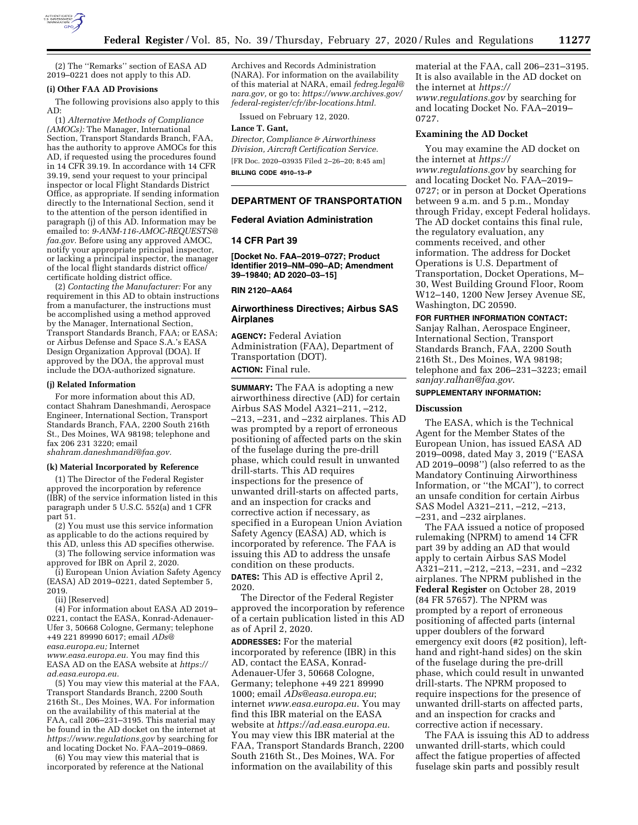

(2) The ''Remarks'' section of EASA AD 2019–0221 does not apply to this AD.

#### **(i) Other FAA AD Provisions**

The following provisions also apply to this AD:

(1) *Alternative Methods of Compliance (AMOCs):* The Manager, International Section, Transport Standards Branch, FAA, has the authority to approve AMOCs for this AD, if requested using the procedures found in 14 CFR 39.19. In accordance with 14 CFR 39.19, send your request to your principal inspector or local Flight Standards District Office, as appropriate. If sending information directly to the International Section, send it to the attention of the person identified in paragraph (j) of this AD. Information may be emailed to: *[9-ANM-116-AMOC-REQUESTS@](mailto:9-ANM-116-AMOC-REQUESTS@faa.gov) [faa.gov.](mailto:9-ANM-116-AMOC-REQUESTS@faa.gov)* Before using any approved AMOC, notify your appropriate principal inspector, or lacking a principal inspector, the manager of the local flight standards district office/ certificate holding district office.

(2) *Contacting the Manufacturer:* For any requirement in this AD to obtain instructions from a manufacturer, the instructions must be accomplished using a method approved by the Manager, International Section, Transport Standards Branch, FAA; or EASA; or Airbus Defense and Space S.A.'s EASA Design Organization Approval (DOA). If approved by the DOA, the approval must include the DOA-authorized signature.

#### **(j) Related Information**

For more information about this AD, contact Shahram Daneshmandi, Aerospace Engineer, International Section, Transport Standards Branch, FAA, 2200 South 216th St., Des Moines, WA 98198; telephone and fax 206 231 3220; email

*[shahram.daneshmandi@faa.gov.](mailto:shahram.daneshmandi@faa.gov)* 

### **(k) Material Incorporated by Reference**

(1) The Director of the Federal Register approved the incorporation by reference (IBR) of the service information listed in this paragraph under 5 U.S.C. 552(a) and 1 CFR part 51.

(2) You must use this service information as applicable to do the actions required by this AD, unless this AD specifies otherwise.

(3) The following service information was approved for IBR on April 2, 2020.

(i) European Union Aviation Safety Agency (EASA) AD 2019–0221, dated September 5, 2019.

(ii) [Reserved]

(4) For information about EASA AD 2019– 0221, contact the EASA, Konrad-Adenauer-Ufer 3, 50668 Cologne, Germany; telephone +49 221 89990 6017; email *[ADs@](mailto:ADs@easa.europa.eu) [easa.europa.eu;](mailto:ADs@easa.europa.eu)* Internet

*[www.easa.europa.eu.](http://www.easa.europa.eu)* You may find this EASA AD on the EASA website at *[https://](https://ad.easa.europa.eu) [ad.easa.europa.eu.](https://ad.easa.europa.eu)* 

(5) You may view this material at the FAA, Transport Standards Branch, 2200 South 216th St., Des Moines, WA. For information on the availability of this material at the FAA, call 206–231–3195. This material may be found in the AD docket on the internet at *<https://www.regulations.gov>* by searching for and locating Docket No. FAA–2019–0869.

(6) You may view this material that is incorporated by reference at the National

Archives and Records Administration (NARA). For information on the availability of this material at NARA, email *[fedreg.legal@](mailto:fedreg.legal@nara.gov) [nara.gov,](mailto:fedreg.legal@nara.gov)* or go to: *[https://www.archives.gov/](https://www.archives.gov/federal-register/cfr/ibr-locations.html) [federal-register/cfr/ibr-locations.html.](https://www.archives.gov/federal-register/cfr/ibr-locations.html)* 

Issued on February 12, 2020.

#### **Lance T. Gant,**

*Director, Compliance & Airworthiness Division, Aircraft Certification Service.* 

[FR Doc. 2020–03935 Filed 2–26–20; 8:45 am]

**BILLING CODE 4910–13–P** 

## **DEPARTMENT OF TRANSPORTATION**

#### **Federal Aviation Administration**

#### **14 CFR Part 39**

**[Docket No. FAA–2019–0727; Product Identifier 2019–NM–090–AD; Amendment 39–19840; AD 2020–03–15]** 

**RIN 2120–AA64** 

### **Airworthiness Directives; Airbus SAS Airplanes**

**AGENCY:** Federal Aviation Administration (FAA), Department of Transportation (DOT). **ACTION:** Final rule.

**SUMMARY:** The FAA is adopting a new airworthiness directive (AD) for certain Airbus SAS Model A321–211, –212, –213, –231, and –232 airplanes. This AD was prompted by a report of erroneous positioning of affected parts on the skin of the fuselage during the pre-drill phase, which could result in unwanted drill-starts. This AD requires inspections for the presence of unwanted drill-starts on affected parts, and an inspection for cracks and corrective action if necessary, as specified in a European Union Aviation Safety Agency (EASA) AD, which is incorporated by reference. The FAA is issuing this AD to address the unsafe condition on these products.

**DATES:** This AD is effective April 2, 2020.

The Director of the Federal Register approved the incorporation by reference of a certain publication listed in this AD as of April 2, 2020.

**ADDRESSES:** For the material incorporated by reference (IBR) in this AD, contact the EASA, Konrad-Adenauer-Ufer 3, 50668 Cologne, Germany; telephone +49 221 89990 1000; email *[ADs@easa.europa.eu](mailto:ADs@easa.europa.eu)*; internet *[www.easa.europa.eu](http://www.easa.europa.eu)*. You may find this IBR material on the EASA website at *<https://ad.easa.europa.eu>*. You may view this IBR material at the FAA, Transport Standards Branch, 2200 South 216th St., Des Moines, WA. For information on the availability of this

material at the FAA, call 206–231–3195. It is also available in the AD docket on the internet at *[https://](https://www.regulations.gov) [www.regulations.gov](https://www.regulations.gov)* by searching for and locating Docket No. FAA–2019– 0727.

## **Examining the AD Docket**

You may examine the AD docket on the internet at *[https://](https://www.regulations.gov) [www.regulations.gov](https://www.regulations.gov)* by searching for and locating Docket No. FAA–2019– 0727; or in person at Docket Operations between 9 a.m. and 5 p.m., Monday through Friday, except Federal holidays. The AD docket contains this final rule, the regulatory evaluation, any comments received, and other information. The address for Docket Operations is U.S. Department of Transportation, Docket Operations, M– 30, West Building Ground Floor, Room W12–140, 1200 New Jersey Avenue SE, Washington, DC 20590.

**FOR FURTHER INFORMATION CONTACT:** 

Sanjay Ralhan, Aerospace Engineer, International Section, Transport Standards Branch, FAA, 2200 South 216th St., Des Moines, WA 98198; telephone and fax 206–231–3223; email *[sanjay.ralhan@faa.gov](mailto:sanjay.ralhan@faa.gov)*.

### **SUPPLEMENTARY INFORMATION:**

#### **Discussion**

The EASA, which is the Technical Agent for the Member States of the European Union, has issued EASA AD 2019–0098, dated May 3, 2019 (''EASA AD 2019–0098'') (also referred to as the Mandatory Continuing Airworthiness Information, or ''the MCAI''), to correct an unsafe condition for certain Airbus SAS Model A321–211, –212, –213, –231, and –232 airplanes.

The FAA issued a notice of proposed rulemaking (NPRM) to amend 14 CFR part 39 by adding an AD that would apply to certain Airbus SAS Model A321–211, –212, –213, –231, and –232 airplanes. The NPRM published in the **Federal Register** on October 28, 2019 (84 FR 57657). The NPRM was prompted by a report of erroneous positioning of affected parts (internal upper doublers of the forward emergency exit doors (#2 position), lefthand and right-hand sides) on the skin of the fuselage during the pre-drill phase, which could result in unwanted drill-starts. The NPRM proposed to require inspections for the presence of unwanted drill-starts on affected parts, and an inspection for cracks and corrective action if necessary.

The FAA is issuing this AD to address unwanted drill-starts, which could affect the fatigue properties of affected fuselage skin parts and possibly result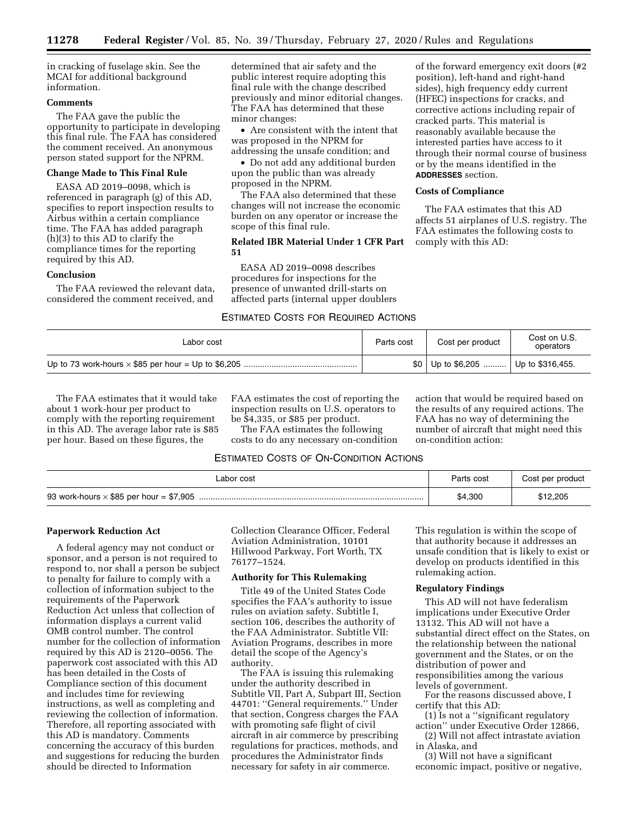in cracking of fuselage skin. See the MCAI for additional background information.

# **Comments**

The FAA gave the public the opportunity to participate in developing this final rule. The FAA has considered the comment received. An anonymous person stated support for the NPRM.

# **Change Made to This Final Rule**

EASA AD 2019–0098, which is referenced in paragraph (g) of this AD, specifies to report inspection results to Airbus within a certain compliance time. The FAA has added paragraph (h)(3) to this AD to clarify the compliance times for the reporting required by this AD.

# **Conclusion**

The FAA reviewed the relevant data, considered the comment received, and

determined that air safety and the public interest require adopting this final rule with the change described previously and minor editorial changes. The FAA has determined that these minor changes:

• Are consistent with the intent that was proposed in the NPRM for addressing the unsafe condition; and

• Do not add any additional burden upon the public than was already proposed in the NPRM.

The FAA also determined that these changes will not increase the economic burden on any operator or increase the scope of this final rule.

# **Related IBR Material Under 1 CFR Part 51**

EASA AD 2019–0098 describes procedures for inspections for the presence of unwanted drill-starts on affected parts (internal upper doublers

# ESTIMATED COSTS FOR REQUIRED ACTIONS

of the forward emergency exit doors (#2 position), left-hand and right-hand sides), high frequency eddy current (HFEC) inspections for cracks, and corrective actions including repair of cracked parts. This material is reasonably available because the interested parties have access to it through their normal course of business or by the means identified in the **ADDRESSES** section.

### **Costs of Compliance**

The FAA estimates that this AD affects 51 airplanes of U.S. registry. The FAA estimates the following costs to comply with this AD:

| Labor cost | Parts cost | Cost per product                          | Cost on U.S.<br>operators |
|------------|------------|-------------------------------------------|---------------------------|
|            |            | $$0 \mid$ Up to \$6,205  Up to \$316,455. |                           |

The FAA estimates that it would take about 1 work-hour per product to comply with the reporting requirement in this AD. The average labor rate is \$85 per hour. Based on these figures, the

FAA estimates the cost of reporting the inspection results on U.S. operators to be \$4,335, or \$85 per product.

The FAA estimates the following costs to do any necessary on-condition action that would be required based on the results of any required actions. The FAA has no way of determining the number of aircraft that might need this on-condition action:

# ESTIMATED COSTS OF ON-CONDITION ACTIONS

| Labor cost                                     | Parts cost | Cost per product |
|------------------------------------------------|------------|------------------|
| 93 work-hours $\times$ \$85 per hour = \$7,905 | \$4,300    | \$12.205         |

### **Paperwork Reduction Act**

A federal agency may not conduct or sponsor, and a person is not required to respond to, nor shall a person be subject to penalty for failure to comply with a collection of information subject to the requirements of the Paperwork Reduction Act unless that collection of information displays a current valid OMB control number. The control number for the collection of information required by this AD is 2120–0056. The paperwork cost associated with this AD has been detailed in the Costs of Compliance section of this document and includes time for reviewing instructions, as well as completing and reviewing the collection of information. Therefore, all reporting associated with this AD is mandatory. Comments concerning the accuracy of this burden and suggestions for reducing the burden should be directed to Information

Collection Clearance Officer, Federal Aviation Administration, 10101 Hillwood Parkway, Fort Worth, TX 76177–1524.

# **Authority for This Rulemaking**

Title 49 of the United States Code specifies the FAA's authority to issue rules on aviation safety. Subtitle I, section 106, describes the authority of the FAA Administrator. Subtitle VII: Aviation Programs, describes in more detail the scope of the Agency's authority.

The FAA is issuing this rulemaking under the authority described in Subtitle VII, Part A, Subpart III, Section 44701: ''General requirements.'' Under that section, Congress charges the FAA with promoting safe flight of civil aircraft in air commerce by prescribing regulations for practices, methods, and procedures the Administrator finds necessary for safety in air commerce.

This regulation is within the scope of that authority because it addresses an unsafe condition that is likely to exist or develop on products identified in this rulemaking action.

## **Regulatory Findings**

This AD will not have federalism implications under Executive Order 13132. This AD will not have a substantial direct effect on the States, on the relationship between the national government and the States, or on the distribution of power and responsibilities among the various levels of government.

For the reasons discussed above, I certify that this AD:

(1) Is not a ''significant regulatory action'' under Executive Order 12866,

(2) Will not affect intrastate aviation in Alaska, and

(3) Will not have a significant economic impact, positive or negative,